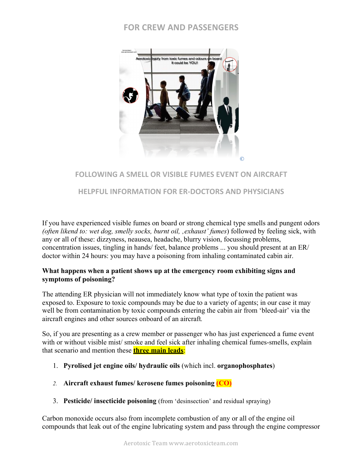# **FOR CREW AND PASSENGERS**



## **FOLLOWING A SMELL OR VISIBLE FUMES EVENT ON AIRCRAFT**

### **HELPFUL INFORMATION FOR ER-DOCTORS AND PHYSICIANS**

If you have experienced visible fumes on board or strong chemical type smells and pungent odors *(often likend to: wet dog, smelly socks, burnt oil, 'exhaust' fumes*) followed by feeling sick, with any or all of these: dizzyness, neausea, headache, blurry vision, focussing problems, concentration issues, tingling in hands/ feet, balance problems ... you should present at an ER/ doctor within 24 hours: you may have a poisoning from inhaling contaminated cabin air.

### **What happens when a patient shows up at the emergency room exhibiting signs and symptoms of poisoning?**

The attending ER physician will not immediately know what type of toxin the patient was exposed to. Exposure to toxic compounds may be due to a variety of agents; in our case it may well be from contamination by toxic compounds entering the cabin air from 'bleed-air' via the aircraft engines and other sources onboard of an aircraft*.* 

So, if you are presenting as a crew member or passenger who has just experienced a fume event with or without visible mist/smoke and feel sick after inhaling chemical fumes-smells, explain that scenario and mention these **three main leads**:

- 1. **Pyrolised jet engine oils/ hydraulic oils** (which incl. **organophosphates**)
- *2.* **Aircraft exhaust fumes/ kerosene fumes poisoning (CO)**
- 3. **Pesticide/ insecticide poisoning** (from 'desinsection' and residual spraying)

Carbon monoxide occurs also from incomplete combustion of any or all of the engine oil compounds that leak out of the engine lubricating system and pass through the engine compressor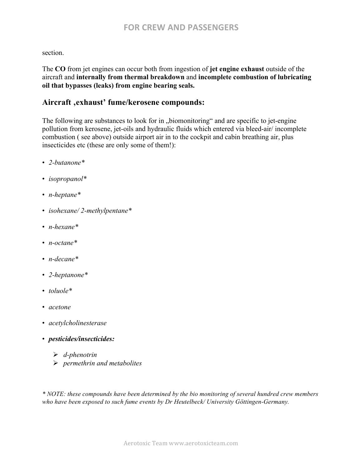### section.

The **CO** from jet engines can occur both from ingestion of **jet engine exhaust** outside of the aircraft and **internally from thermal breakdown** and **incomplete combustion of lubricating oil that bypasses (leaks) from engine bearing seals.**

## Aircraft , exhaust' fume/kerosene compounds:

The following are substances to look for in "biomonitoring" and are specific to jet-engine pollution from kerosene, jet-oils and hydraulic fluids which entered via bleed-air/ incomplete combustion ( see above) outside airport air in to the cockpit and cabin breathing air, plus insecticides etc (these are only some of them!):

- *2-butanone\**
- *isopropanol\**
- *n-heptane\**
- *isohexane/ 2-methylpentane\**
- *n-hexane\**
- *n-octane\**
- *n-decane\**
- *2-heptanone\**
- *toluole\**
- *acetone*
- *acetylcholinesterase*
- *pesticides/insecticides:*
	- Ø *d-phenotrin*
	- Ø *permethrin and metabolites*

*\* NOTE: these compounds have been determined by the bio monitoring of several hundred crew members who have been exposed to such fume events by Dr Heutelbeck/ University Göttingen-Germany.*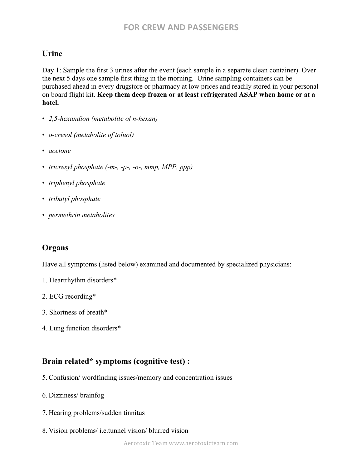# **Urine**

Day 1: Sample the first 3 urines after the event (each sample in a separate clean container). Over the next 5 days one sample first thing in the morning. Urine sampling containers can be purchased ahead in every drugstore or pharmacy at low prices and readily stored in your personal on board flight kit. **Keep them deep frozen or at least refrigerated ASAP when home or at a hotel.** 

- *2,5-hexandion (metabolite of n-hexan)*
- *o-cresol (metabolite of toluol)*
- *acetone*
- *tricresyl phosphate (-m-, -p-, -o-, mmp, MPP, ppp)*
- *triphenyl phosphate*
- *tributyl phosphate*
- *permethrin metabolites*

## **Organs**

Have all symptoms (listed below) examined and documented by specialized physicians:

- 1. Heartrhythm disorders\*
- 2. ECG recording\*
- 3. Shortness of breath\*
- 4. Lung function disorders\*

## **Brain related\* symptoms (cognitive test) :**

- 5.Confusion/ wordfinding issues/memory and concentration issues
- 6. Dizziness/ brainfog
- 7. Hearing problems/sudden tinnitus
- 8. Vision problems/ i.e.tunnel vision/ blurred vision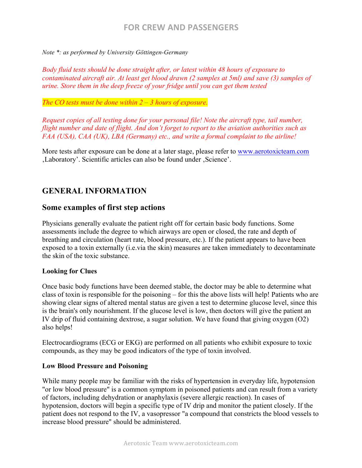# **FOR CREW AND PASSENGERS**

#### *Note \*: as performed by University Göttingen-Germany*

*Body fluid tests should be done straight after, or latest within 48 hours of exposure to contaminated aircraft air. At least get blood drawn (2 samples at 5ml) and save (3) samples of urine. Store them in the deep freeze of your fridge until you can get them tested*

#### *The CO tests must be done within 2 – 3 hours of exposure.*

*Request copies of all testing done for your personal file! Note the aircraft type, tail number, flight number and date of flight. And don't forget to report to the aviation authorities such as FAA (USA), CAA (UK), LBA (Germany) etc., and write a formal complaint to the airline!*

More tests after exposure can be done at a later stage, please refer to www.aerotoxicteam.com Laboratory'. Scientific articles can also be found under 'Science'.

# **GENERAL INFORMATION**

### **Some examples of first step actions**

Physicians generally evaluate the patient right off for certain basic body functions. Some assessments include the degree to which airways are open or closed, the rate and depth of breathing and circulation (heart rate, blood pressure, etc.). If the patient appears to have been exposed to a toxin externally (i.e.via the skin) measures are taken immediately to decontaminate the skin of the toxic substance.

#### **Looking for Clues**

Once basic body functions have been deemed stable, the doctor may be able to determine what class of toxin is responsible for the poisoning – for this the above lists will help! Patients who are showing clear signs of altered mental status are given a test to determine glucose level, since this is the brain's only nourishment. If the glucose level is low, then doctors will give the patient an IV drip of fluid containing dextrose, a sugar solution. We have found that giving oxygen (O2) also helps!

Electrocardiograms (ECG or EKG) are performed on all patients who exhibit exposure to toxic compounds, as they may be good indicators of the type of toxin involved.

#### **Low Blood Pressure and Poisoning**

While many people may be familiar with the risks of hypertension in everyday life, hypotension "or low blood pressure" is a common symptom in poisoned patients and can result from a variety of factors, including dehydration or anaphylaxis (severe allergic reaction). In cases of hypotension, doctors will begin a specific type of IV drip and monitor the patient closely. If the patient does not respond to the IV, a vasopressor "a compound that constricts the blood vessels to increase blood pressure" should be administered.